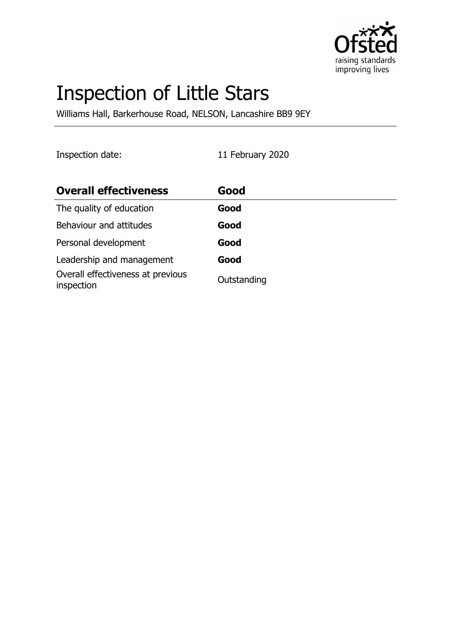

# Inspection of Little Stars

Williams Hall, Barkerhouse Road, NELSON, Lancashire BB9 9EY

Inspection date: 11 February 2020

| <b>Overall effectiveness</b>                    | Good        |
|-------------------------------------------------|-------------|
| The quality of education                        | Good        |
| Behaviour and attitudes                         | Good        |
| Personal development                            | Good        |
| Leadership and management                       | Good        |
| Overall effectiveness at previous<br>inspection | Outstanding |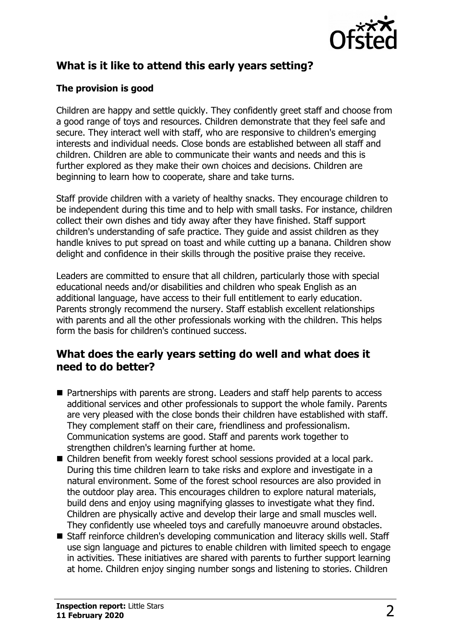

# **What is it like to attend this early years setting?**

#### **The provision is good**

Children are happy and settle quickly. They confidently greet staff and choose from a good range of toys and resources. Children demonstrate that they feel safe and secure. They interact well with staff, who are responsive to children's emerging interests and individual needs. Close bonds are established between all staff and children. Children are able to communicate their wants and needs and this is further explored as they make their own choices and decisions. Children are beginning to learn how to cooperate, share and take turns.

Staff provide children with a variety of healthy snacks. They encourage children to be independent during this time and to help with small tasks. For instance, children collect their own dishes and tidy away after they have finished. Staff support children's understanding of safe practice. They guide and assist children as they handle knives to put spread on toast and while cutting up a banana. Children show delight and confidence in their skills through the positive praise they receive.

Leaders are committed to ensure that all children, particularly those with special educational needs and/or disabilities and children who speak English as an additional language, have access to their full entitlement to early education. Parents strongly recommend the nursery. Staff establish excellent relationships with parents and all the other professionals working with the children. This helps form the basis for children's continued success.

#### **What does the early years setting do well and what does it need to do better?**

- Partnerships with parents are strong. Leaders and staff help parents to access additional services and other professionals to support the whole family. Parents are very pleased with the close bonds their children have established with staff. They complement staff on their care, friendliness and professionalism. Communication systems are good. Staff and parents work together to strengthen children's learning further at home.
- Children benefit from weekly forest school sessions provided at a local park. During this time children learn to take risks and explore and investigate in a natural environment. Some of the forest school resources are also provided in the outdoor play area. This encourages children to explore natural materials, build dens and enjoy using magnifying glasses to investigate what they find. Children are physically active and develop their large and small muscles well. They confidently use wheeled toys and carefully manoeuvre around obstacles.
- Staff reinforce children's developing communication and literacy skills well. Staff use sign language and pictures to enable children with limited speech to engage in activities. These initiatives are shared with parents to further support learning at home. Children enjoy singing number songs and listening to stories. Children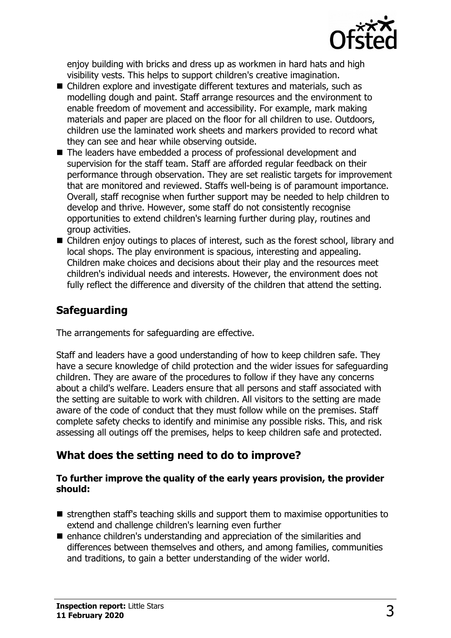

enjoy building with bricks and dress up as workmen in hard hats and high visibility vests. This helps to support children's creative imagination.

- Children explore and investigate different textures and materials, such as modelling dough and paint. Staff arrange resources and the environment to enable freedom of movement and accessibility. For example, mark making materials and paper are placed on the floor for all children to use. Outdoors, children use the laminated work sheets and markers provided to record what they can see and hear while observing outside.
- The leaders have embedded a process of professional development and supervision for the staff team. Staff are afforded regular feedback on their performance through observation. They are set realistic targets for improvement that are monitored and reviewed. Staffs well-being is of paramount importance. Overall, staff recognise when further support may be needed to help children to develop and thrive. However, some staff do not consistently recognise opportunities to extend children's learning further during play, routines and group activities.
- $\blacksquare$  Children enjoy outings to places of interest, such as the forest school, library and local shops. The play environment is spacious, interesting and appealing. Children make choices and decisions about their play and the resources meet children's individual needs and interests. However, the environment does not fully reflect the difference and diversity of the children that attend the setting.

## **Safeguarding**

The arrangements for safeguarding are effective.

Staff and leaders have a good understanding of how to keep children safe. They have a secure knowledge of child protection and the wider issues for safeguarding children. They are aware of the procedures to follow if they have any concerns about a child's welfare. Leaders ensure that all persons and staff associated with the setting are suitable to work with children. All visitors to the setting are made aware of the code of conduct that they must follow while on the premises. Staff complete safety checks to identify and minimise any possible risks. This, and risk assessing all outings off the premises, helps to keep children safe and protected.

# **What does the setting need to do to improve?**

#### **To further improve the quality of the early years provision, the provider should:**

- $\blacksquare$  strengthen staff's teaching skills and support them to maximise opportunities to extend and challenge children's learning even further
- $\blacksquare$  enhance children's understanding and appreciation of the similarities and differences between themselves and others, and among families, communities and traditions, to gain a better understanding of the wider world.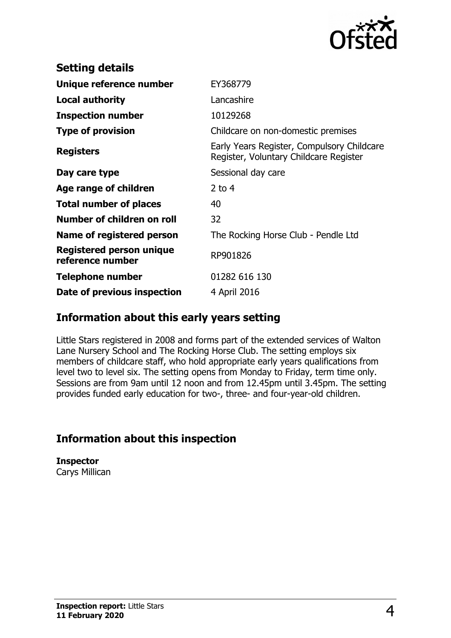

| <b>Setting details</b>                       |                                                                                      |
|----------------------------------------------|--------------------------------------------------------------------------------------|
| Unique reference number                      | EY368779                                                                             |
| <b>Local authority</b>                       | Lancashire                                                                           |
| <b>Inspection number</b>                     | 10129268                                                                             |
| <b>Type of provision</b>                     | Childcare on non-domestic premises                                                   |
| <b>Registers</b>                             | Early Years Register, Compulsory Childcare<br>Register, Voluntary Childcare Register |
| Day care type                                | Sessional day care                                                                   |
| Age range of children                        | $2$ to 4                                                                             |
| <b>Total number of places</b>                | 40                                                                                   |
| Number of children on roll                   | 32                                                                                   |
| Name of registered person                    | The Rocking Horse Club - Pendle Ltd                                                  |
| Registered person unique<br>reference number | RP901826                                                                             |
| Telephone number                             | 01282 616 130                                                                        |
| Date of previous inspection                  | 4 April 2016                                                                         |

### **Information about this early years setting**

Little Stars registered in 2008 and forms part of the extended services of Walton Lane Nursery School and The Rocking Horse Club. The setting employs six members of childcare staff, who hold appropriate early years qualifications from level two to level six. The setting opens from Monday to Friday, term time only. Sessions are from 9am until 12 noon and from 12.45pm until 3.45pm. The setting provides funded early education for two-, three- and four-year-old children.

# **Information about this inspection**

**Inspector** Carys Millican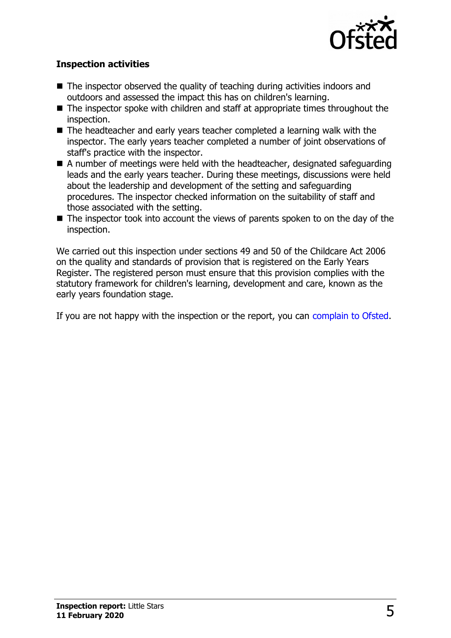

#### **Inspection activities**

- $\blacksquare$  The inspector observed the quality of teaching during activities indoors and outdoors and assessed the impact this has on children's learning.
- $\blacksquare$  The inspector spoke with children and staff at appropriate times throughout the inspection.
- $\blacksquare$  The headteacher and early years teacher completed a learning walk with the inspector. The early years teacher completed a number of joint observations of staff's practice with the inspector.
- $\blacksquare$  A number of meetings were held with the headteacher, designated safeguarding leads and the early years teacher. During these meetings, discussions were held about the leadership and development of the setting and safeguarding procedures. The inspector checked information on the suitability of staff and those associated with the setting.
- $\blacksquare$  The inspector took into account the views of parents spoken to on the day of the inspection.

We carried out this inspection under sections 49 and 50 of the Childcare Act 2006 on the quality and standards of provision that is registered on the Early Years Register. The registered person must ensure that this provision complies with the statutory framework for children's learning, development and care, known as the early years foundation stage.

If you are not happy with the inspection or the report, you can [complain to Ofsted.](http://www.gov.uk/complain-ofsted-report)